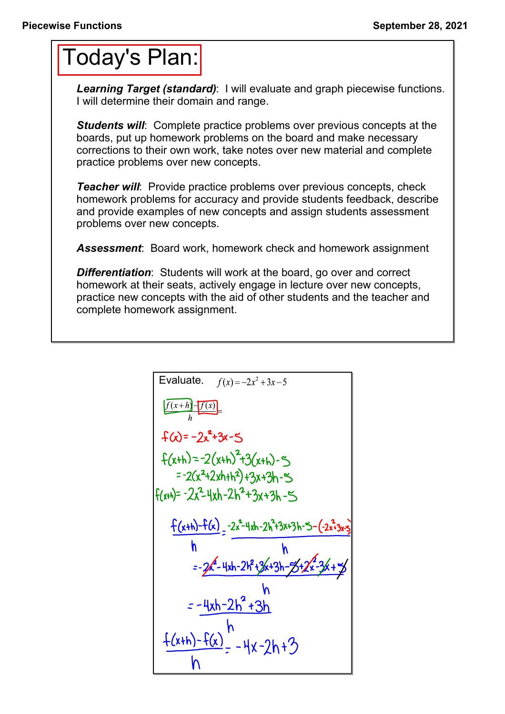## Today's Plan:

*Learning Target (standard)*: I will evaluate and graph piecewise functions. I will determine their domain and range.

**Students will:** Complete practice problems over previous concepts at the boards, put up homework problems on the board and make necessary corrections to their own work, take notes over new material and complete practice problems over new concepts.

*Teacher will:* Provide practice problems over previous concepts, check homework problems for accuracy and provide students feedback, describe and provide examples of new concepts and assign students assessment problems over new concepts.

*Assessment*: Board work, homework check and homework assignment

*Differentiation*: Students will work at the board, go over and correct homework at their seats, actively engage in lecture over new concepts, practice new concepts with the aid of other students and the teacher and complete homework assignment.

Evaluate. 
$$
f(x) = -2x^2 + 3x - 5
$$
  
\n
$$
\frac{f(x+h)-f(x)}{h}
$$
\n
$$
f(x) = -2x^2 + 3x - 5
$$
\n
$$
f(x+h) = -2(x+h)^2 + 3(x+h) - 5
$$
\n
$$
= -2(x^2 + 2xh + h^2) + 3x + 3h - 5
$$
\n
$$
f(x+h) = -2x^2 - 4xh - 2h^2 + 3x + 3h - 5
$$
\n
$$
\frac{f(x+h)-f(x)}{h} = -2x^2 - 4xh - 2h^2 + 3x + 3h - 5 - (-2x^2 + 3x + 5)
$$
\n
$$
= -2x^2 - 4xh - 2h^2 + 3x + 3h - 5 + 2x^2 - 3x + 3h
$$
\n
$$
= -\frac{4xh - 2h^2 + 3h}{h}
$$
\n
$$
\frac{f(x+h)-f(x)}{h} = -\frac{1}{x}x - 2h + 3
$$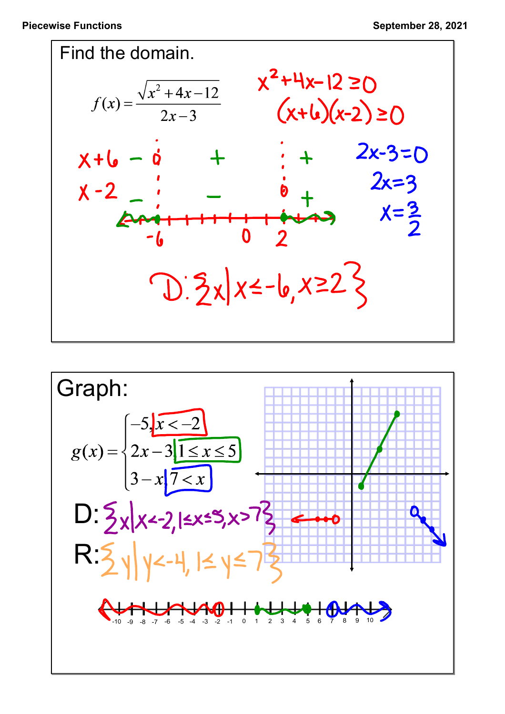

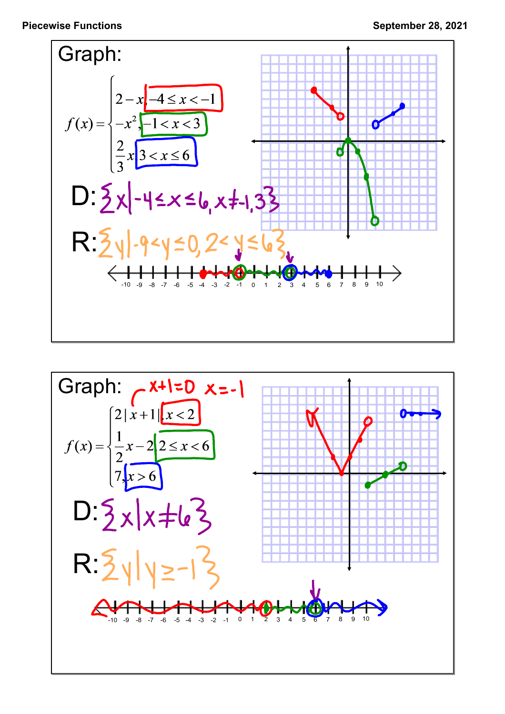